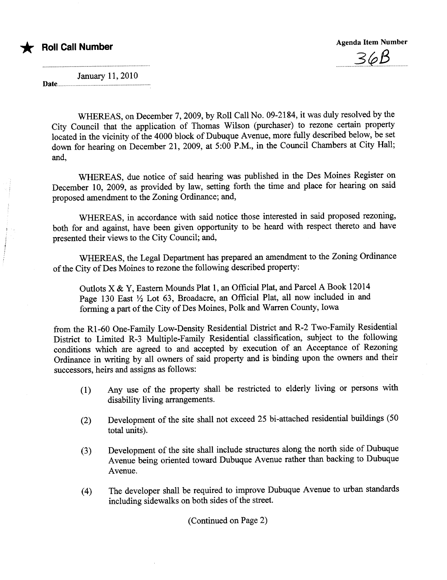\* Roll Call Number



January 11, 2010 Date....... uuu..u..uu.. .uU.U. u uu.. ....u....u.....uuu....u...uuu

WHEREAS, on December 7,2009, by Roll Call No. 09-2184, it was duly resolved by the City Council that the application of Thomas Wilson (purchaser) to rezone certain propert located in the vicinity of the 4000 block of Dubuque Avenue, more fully described below, be set down for hearing on December 21, 2009, at 5:00 P.M., in the Council Chambers at City Hall; and,

WHEREAS, due notice of said hearing was published in the Des Moines Register on December 10, 2009, as provided by law, setting forth the time and place for hearing on said proposed amendment to the Zoning Ordinance; and,

WHEREAS, in accordance with said notice those interested in said proposed rezoning, both for and against, have been given opportunity to be heard with respect thereto and have presented their views to the City Council; and,

WHEREAS, the Legal Department has prepared an amendment to the Zoning Ordinance of the City of Des Moines to rezone the following described property:

Outlots X & Y, Eastern Mounds Plat 1, an Official Plat, and Parcel A Book 12014 Page 130 East  $\frac{1}{2}$  Lot 63, Broadacre, an Official Plat, all now included in and forming a part of the City of Des Moines, Polk and Warren County, Iowa

from the Rl-60 One-Family Low-Density Residential District and R-2 Two-Family Residential District to Limited R-3 Multiple-Family Residential classification, subject to the following conditions which are agreed to and accepted by execution of an Acceptace of Rezoning Ordinance in writing by all owners of said property and is binding upon the owners and their successors, heirs and assigns as follows:

- (1) Any use of the property shall be restricted to elderly living or persons with disability living arrangements.
- (2) Development of the site shall not exceed 25 bi-attached residential buildings (50 total units).
- (3) Development of the site shall include structures along the north side of Dubuque Avenue being oriented toward Dubuque Avenue rather than backing to Dubuque Avenue.
- (4) The developer shall be required to improve Dubuque Avenue to urban stadards including sidewalks on both sides of the street.

(Continued on Page 2)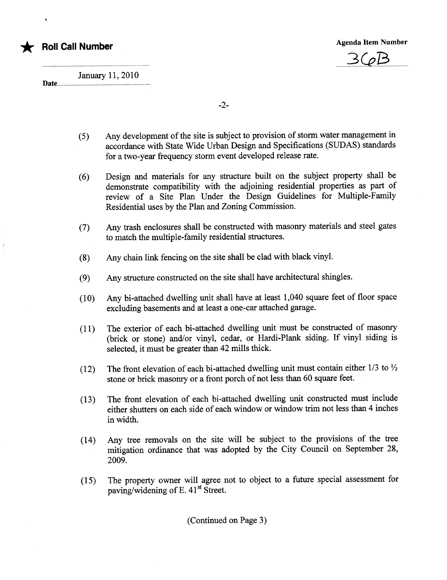

 $360B$ 

January 11, 2010

Date.

'.

-2-

- (5) Any development of the site is subject to provision of storm water management in accordance with State Wide Urban Design and Specifications (SUDAS) stadards for a two-year frequency storm event developed release rate.
- (6) Design and materials for any structure built on the subject property shall be demonstrate compatibility with the adjoining residential properties as part of review of a Site Plan Under the Design Guidelines for Multiple-Family Residential uses by the Plan and Zoning Commission.
- (7) Any trash enclosures shall be constructed with masonry materials and steel gates to match the multiple-family residential structures.
- (8) Any chain link fencing on the site shall be clad with black vinyL.
- (9) Any structue constructed on the site shall have architectual shingles.
- $(10)$  Any bi-attached dwelling unit shall have at least 1,040 square feet of floor space excluding basements and at least a one-car attached garage.
- (11) The exterior of each bi-attached dwellng unt must be constructed of masonr (brick or stone) and/or vinyl, cedar, or Hardi-Plank siding. If vinyl siding is selected, it must be greater than 42 mills thick.
- (12) The front elevation of each bi-attached dwelling unit must contain either  $1/3$  to  $\frac{1}{2}$ stone or brick masonry or a front porch of not less than 60 square feet.
- (13) The front elevation of each bi-attached dwelling unit constructed must include either shutters on each side of each window or window trm not less than 4 inches in width.
- (14) Any tree removals on the site will be subject to the provisions of the tree mitigation ordinance that was adopted by the City Council on September 28, 2009.
- $(15)$  The property owner will agree not to object to a future special assessment for paving/widening of E. 41<sup>st</sup> Street.

(Continued on Page 3)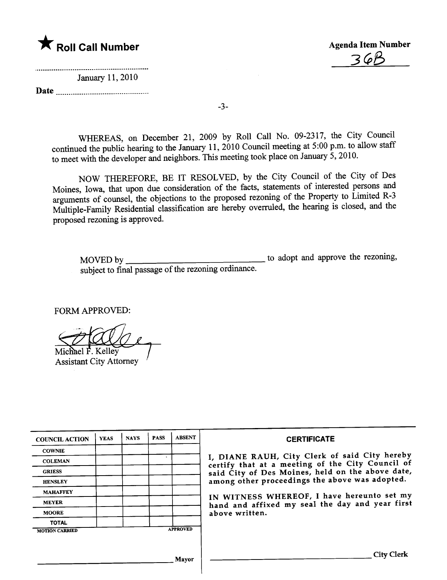\* Roll Call Number Agenda Item Number<br>
36<sup>8</sup>

January 11, 2010

Date

3cP8 . ~.. .................................................... ......................... ........ ...

-3-

WHREAS, on December 21, 2009 by Roll Call No. 09-2317, the City Council continued the public hearing to the January 11, 2010 Council meeting at 5:00 p.m. to allow staff to meet with the developer and neighbors. This meeting took place on January 5, 2010.

NOW THEREFORE, BE IT RESOLVED, by the City Council of the City of Des Moines, Iowa, that upon due consideration of the facts, statements of interested persons and arguments of counsel, the objections to the proposed rezoning of the Property to Limited R-3 Multiple-Family Residential classification are hereby overruled, the hearing is closed, and the proposed rezoning is approved.

MOVED by the rezoning, subject to final passage of the rezoning ordinance.

FORM APPROVED:

Michael F. Kelley

**Assistant City Attorney** 

| <b>COUNCIL ACTION</b> | <b>YEAS</b> | <b>NAYS</b> | <b>PASS</b> | <b>ABSENT</b>   | <b>CERTIFICATE</b>                                                                                |  |  |  |
|-----------------------|-------------|-------------|-------------|-----------------|---------------------------------------------------------------------------------------------------|--|--|--|
| <b>COWNIE</b>         |             |             |             |                 |                                                                                                   |  |  |  |
| <b>COLEMAN</b>        |             |             | $\bullet$   |                 | I, DIANE RAUH, City Clerk of said City hereby<br>certify that at a meeting of the City Council of |  |  |  |
| <b>GRIESS</b>         |             |             |             |                 | said City of Des Moines, held on the above date,                                                  |  |  |  |
| <b>HENSLEY</b>        |             |             |             |                 | among other proceedings the above was adopted.                                                    |  |  |  |
| <b>MAHAFFEY</b>       |             |             |             |                 | IN WITNESS WHEREOF, I have hereunto set my                                                        |  |  |  |
| <b>MEYER</b>          |             |             |             |                 | hand and affixed my seal the day and year first                                                   |  |  |  |
| <b>MOORE</b>          |             |             |             |                 | above written.                                                                                    |  |  |  |
| <b>TOTAL</b>          |             |             |             |                 |                                                                                                   |  |  |  |
| <b>MOTION CARRIED</b> |             |             |             | <b>APPROVED</b> |                                                                                                   |  |  |  |
|                       |             |             |             |                 |                                                                                                   |  |  |  |
|                       |             |             |             | Mayor           | <b>City Clerk</b>                                                                                 |  |  |  |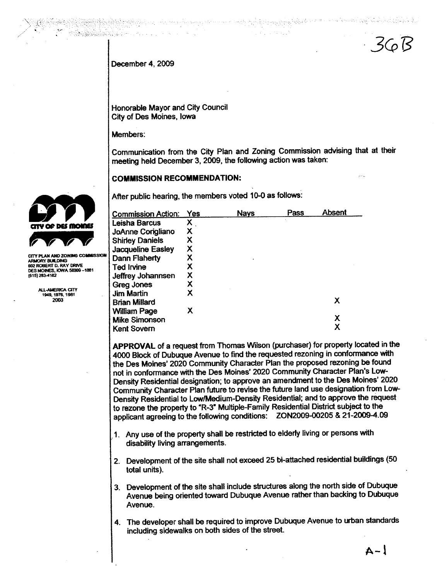$36B$ 

الموالي وأولاد والموالي والموالد

December 4, 2009

Honorable Mayor and City Council City of Des Moines, Iowa

فيستعدد والمتراثين والمسرو المكانين والملاء والمراكب

Members:

ka katika biya da bar da shekarar 2009.<br>Matukatika bar da bar da shekarar 2009 a shekarar 2009 a shekarar 2009 a shekarar 2009 a shekarar 2009 a Sheka

Communication from the City Plan and Zoning Commission advising that at their meeting held December 3, 2009, the following action was taken:

mah ini masa sa Kir 大臣のこと

**COMMISSION RECOMMENDATION:** 

After public hearing, the members voted 10-0 as follows:

| <b>Commission Action:</b> | Yes | <b>Nays</b> | Pass | Absent |
|---------------------------|-----|-------------|------|--------|
| Leisha Barcus             | Χ   |             |      |        |
| <b>JoAnne Corigliano</b>  | х   |             |      |        |
| <b>Shirley Daniels</b>    | х   |             |      |        |
| Jacqueline Easley         | х   |             |      |        |
| Dann Flaherty             | х   |             |      |        |
| Ted Irvine                | х   |             |      |        |
| Jeffrey Johannsen         | х   |             |      |        |
| <b>Greg Jones</b>         | х   |             |      |        |
| <b>Jim Martin</b>         | x   |             |      |        |
| <b>Brian Millard</b>      |     |             |      | х      |
| <b>William Page</b>       | х   |             |      |        |
| <b>Mike Simonson</b>      |     |             |      | х      |
| Kent Sovern               |     |             |      |        |

APPROVAL of a request from Thomas Wilson (purchaser) for property located in the 4000 Block of Dubuque Avenue to find the requested rezoning in conformance with the Des Moines' 2020 Community Character Plan the proposed rezoning be found not in conformance with the Des Moines' 2020 Community Character Plan's Low-Density Residential designation; to approve an amendment to the Des Moines' 2020 Community Character Plan future to revise the future land use designation from Low-Density Residential to Low/Medium-Density Residential; and to approve the request to rezone the property to "R-3" Multiple-Family Residential District subject to the applicant agreeing to the following conditions: ZON2009-00205 & 21-2009-4.09

- 1. Any use of the property shall be restricted to elderly living or persons with disability living arrangements.
- 2. Development of the site shall not exceed 25 bi-attached residential buildings (50 total units).
- 3. Development of the site shall include structures along the north side of Dubuque Avenue being oriented toward Dubuque Avenue rather than backing to Dubuque Avenue.
- 4. The developer shall be required to improve Dubuque Avenue to urban standards including sidewalks on both sides of the street.



CITY PLAN AND ZONING COM ARMORY BUILDING<br>602 ROBERT D. RAY DRIVE DES MOINES, IOWA 50309-1881 (515) 283-4182

> ALL-AMERICA CITY<br>1949, 1976, 1981 2003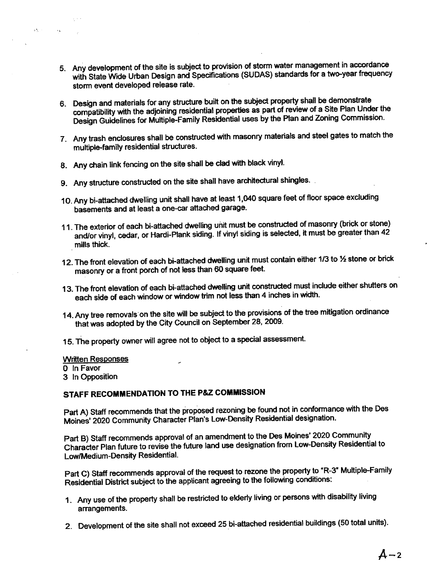- 5. Any development of the site is subject to provision of storm water management in accordance with State Wide Urban Design and Specifications (SUDAS) standards for a two-year frequency storm event developed release rate.
- 6. Design and materials for any structure built on the subject property shall be demonstrate<br>compatibility with the adjoining residential properties as part of review of a Site Plan Under the compatibility with the adjoining residential properties as part of review of  $\frac{1}{2}$  site Plan United States Design Guidelines for Multiple-Family Residential uses by the Plan and Zoning Commission.
- 7. Any trash enclosures shall be constructed with masonry materials and steel gates to match the multiple-family residential structures.
- 8. Any chain link fencing on the site shall be clad with black vinyl.
- 9. Any structure constructed on the site shall have architectural shingles.
- 10. Any bi-attached dwelling unit shall have at least 1,040 square feet of floor space excluding basements and at least a one-car attached garage.
- 11. The exterior of each bi-attached dwelling unit must be constructed of masonry (brick or stone) and/or vinyl, cedar, or Hardi-Plank siding. If vinyl siding is selected, it must be greater than 42 mills thick.
- 12. The front elevation of each bi-attached dwelling unit must contain either 1/3 to 1/2 stone or brick masonry or a front porch of not less than 60 square feet.
- 13. The front elevation of each bi-attached dwelling unit constructed must include either shutters on each side of each window or window trim not less than 4 inches in width.
- 14. Any tree removals on the site will be subject to the provisions of the tree mitigation ordinance that was adopted by the City Council on September 28, 2009.
- 15. The property owner will agree not to object to a special assessment.

#### **Written Responses**

o In Favor

 $\pm 3.05$ 

 $\Delta_{\rm R}$ 

3 In Opposition

## STAFF RECOMMENDATION TO THE P&Z COMMISSION

Part A) Staff recommends that the proposed rezoning be found not in conformance with the Des Moines' 2020 Community Character Plan's Low-Density Residential designation.

Part B) Staff recommends approval of an amendment to the Des Moines' 2020 Community Character Plan future to revise the future land use designation from Low-Density Residential to Low/Medium-Density Residential.

Part C) Staff recommends approval of the request to rezone the property to "R-3" Multiple-Family Residential District subject to the applicant agreeing to the following conditions:

- 1. Any use of the property shall be restricted to elderly living or persons with disability living arrangements.
- 2. Development of the site shall not exceed 25 bi-attached residential buildings (50 total units).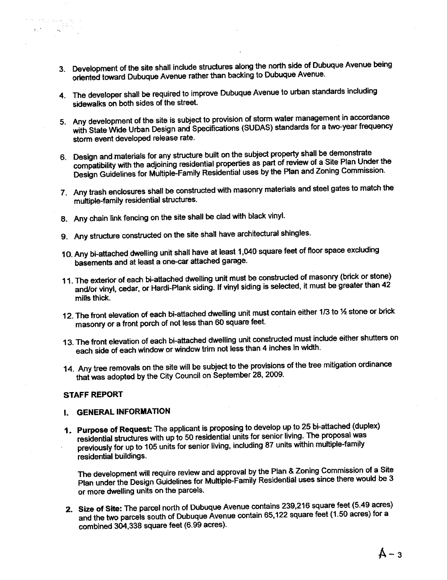- 3. Development of the site shall include structures along the north side of Dubuque Avenue being oriented toward Dubuque Avenue rather than backing to Dubuque Avenue.
- 4. The developer shall be required to improve Dubuque Avenue to urban standards including sidewalks on both sides of the street.
- 5. Any development of the site is subject to provision of storm water management in accordance with State Wide Urban Design and Specifications (SUDAS) standards for a two-year frequency storm event developed release rate.
- 6. Design and materials for any structure built on the subject property shall be demonstrate<br>compatibility with the adjoining residential properties as part of review of a Site Plan Under the compatibility with the adjoining residential properties as part of Plan and Zening Commission Design Guidelines for Multiple-Family Residential uses by the Plan and Zoning Commission.
- 7. Any trash enclosures shall be constructed with masonry materials and steel gates to match the multiple-family residential structures.
- 8. Any chain link fencing on the site shall be clad wih black vinyl.
- 9. Any structure constructed on the site shall have architectural shingles.
- 10. Any bi-attached dwelling unit shall have at least 1,040 square feet of floor space excluding basements and at least a one-car atached garage.
- 11. The extendr of each bi-attached dwelling unit must be constructed it must be greater than 42 and/or vinyl, cedar, or Hardi-Plank siding. If vinyl siding is selected, it must be greater than 42 mills thick.
- 12. The front elevation of each bi-attached dwelling unit must contain either 1/3 to 1⁄2 stone or brick masonry or a front porch of not less than 60 square feet.
- 13. The front elevation of each bi-attached dwelling unit constructed must include either shutters on each side of each window or window trim not less than 4 inches in width.
- 14. Any tree removals on the site will be subject to the provisions of the tree mitigation ordinance that was adopted by the City Council on September 28, 2009.

#### STAFF REPORT

 $\label{eq:2} \begin{split} \mathcal{P}^{\text{C}}_{\text{c}} = \mathcal{P}^{\text{C}}_{\text{c}} \mathcal{P}^{\text{C}} \mathcal{P}^{\text{C}} \mathcal{P}^{\text{C}} \mathcal{P}^{\text{C}} \mathcal{P}^{\text{C}} \mathcal{P}^{\text{C}} \mathcal{P}^{\text{C}} \mathcal{P}^{\text{C}} \mathcal{P}^{\text{C}} \mathcal{P}^{\text{C}} \mathcal{P}^{\text{C}} \mathcal{P}^{\text{C}} \mathcal{P}^{\text{C}} \mathcal{P}^{\text{C}} \mathcal$ 

### i. GENERAL INFORMATION

1. Purpose of Request: The applicant is propsing to develop up to 25 bi-attached (duplex) residential structures with up to 50 residential units for senior living. The proposal was previously for up to 105 units for senior living, including 87 units within multiple-family residential buildings.

The development will require review and approval by the Plan & Zoning Commission of a Site Plan under the Design Guidelines for Multiple-Family Residential uses since there would be 3 or more dwelling units on the parcels.

2. Size of Site: The parcel norm of Dubuque Avenue contains  $239$ ,  $216$  and  $239$ ,  $216$  acres) for  $3<sup>2</sup>$ and the two parcels south of Dubuque Avenue contain 65,122 square feet (1.50 acres) for a combined 304,338 square feet (6.99 acres).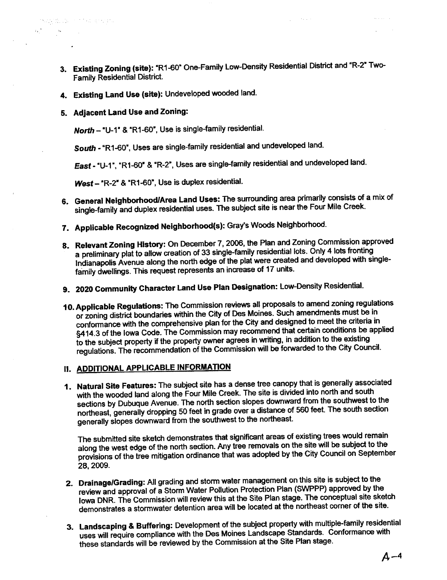- 3. Existing Zoning (site): "R1-60" One-Family Low-Density Residential District and "R-2" Two-Family Residential District.
- 4. Existing Land Use (site): Undeveloped wooded land.
- 5. Adjacent Land Use and Zoning:

'.

tytä. De sint karenda

 $\Delta\mu$  and  $\mu$ 

North - "U-1" & "R1-60", Use is single-family residential.

South - "R1-60", Uses are single-family residential and undeveloped land.

East - "U-1", "R1-60" & "R-2", Uses are single-family residential and undeveloped land.

West - "R-2" & "R1-60", Use is duplex residential.

- 6. General Neighborhood/Area Land Uses: The surrounding area primarily consists of a mix of single-family and duplex residential uses. The subject site is near the Four Mile Creek.
- 7. Applicable Recognized Neighborhood(s): Gray's Woods Neighborhood.
- 8. Relevant Zoning History: On December 7, 2006, the Plan and Zoning Commission approved a preliminary plat to allow creation of 33 single-family residential lots. Only 4 lots fronting Indianapolis Avenue along the north edge of the plat were created and developed with singlefamily dwellings. This request represents an increase of 17 units.
- 9. 2020 Community Character Land Use Plan Designation: Low-Density Residential.
- 10. Applicable Regulations: The Commission reviews all proposals to amend zoning regulations or zoning district boundaries within the City of Des Moines. Such amendments must be in conformance with the comprehensive plan for the City and designed to meet the criteria in S414.3 of the Iowa Code. The Commission may recently in addition to the existing<br>to the subject property if the property owner agrees in writing, in addition to the existing §414.3 of the Iowa Code. The Commission may recommend that certain conditions be applied regulations. The recommendation of the Commission will be forwarded to the City Council.

### II. ADDITIONAL APPLICABLE INFORMATION

1. Natural Site Features: The subject site has a dense tree canopy that is generally associated with the wooded land along the Four Mile Creek. The site is divided into north and south sections by Dubuque Avenue. The north section slopes downward from the southwest to the northeast, generally dropping 50 feet in grade over a distance of 560 feet. The south section generally slopes downward from the soutwest to the northeast.

The submited site sketch demonstrates that signifcant areas of existing trees would remain along the west edge of the north section. Any tree removals on the site will be subject to the provisions of the tree mitigation ordinance that was adopted by the City Council on September 28, 2009.

- 2. Drainage/Grading: All grading and storm water management on this site is subject to the review and approval of a Storm Water Pollution Protection Plan (SWPPP) approved by the Iowa DNR. The Commission will review this at the Site Plan stage. The conceptual site sketch demonstrates a storwater detention area will be located at the northeast comer of the site.
- 3. Landscaping & Buffering: Development of the subject property with multiple-family residential uses will require compliance with the Des Moines Landscape Standards. Conformance with these standards will be reviewed by the Commission at the Site Plan stage.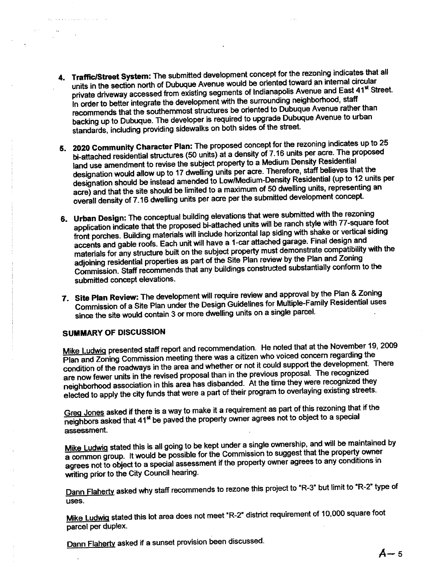- 4. Traffic/Street System: The submitted development concept for the rezoning indicates that all units in the section north of Dubuque Avenue would be oriented toward an internal circular<br>private driveway accessed from existing segments of Indianapolis Avenue and East 41<sup>st</sup> Street. processes accounts accessed from existing segments of Indianapolis Avenue and East Indianapolis Avenue and East Indianapolis Avenue and East 31st Street. In order to be the development with the southernmost structures be oriented to Dubuque Avenue rather than recommends that the southermost structures be one neglected to Dubuque Avenue to Duban backing up to Dubuque. The developer is required to upgrade Dubuque Avenue to urban standards, including providing sidewalks on both sides of the street.
- 5. 2020 Community Character Plan: The proposed concept for the rezoning indicates up to 25 bi-attached residential structures (50 units) at a density of 7.16 units per acre. The proposed land use amendment to revise the subject property to a Medium Density Residential<br>designation would allow up to 17 dwelling units per acre. Therefore, staff believes that the designation would allow up to 17 dwelling units per acre. Therefore, Beeldential (up to 12 up) designation should be instead amended to Low/Medium-Density Residential (up to 12 units per acre) and that the site should be limited to a maximum of 50 dwelling units, representing an overall density of 7.16 dwelling units per acre per the submitted development concept.
- 6. Urban Design: The conceptual building elevations that were submitted with the rezoning application indicate that the proposed bi-attached units will be ranch style with 77-square foot Lephreement and siding materials will include horizontal lap siding with shake or vertical siding<br>front porches. Building materials will include horizontal lap siding with shake or vertical siding accents and gable roofs. Each unit will have a 1-car attached garage. Final design and materials for any structure built on the subject property must demonstrate compatibility with and adjoining residential properties as part of the Site Plan review by the Plan and Zoning Commission. Staff recommends that any buildings constructed substantially conform to the submited concept elevations.
- 7. Site Plan Review: The development will require review and approval by the Plan & Zoning Commission of a Site Plan under the Design Guidelines for Multiple-Family Residential uses since the site would contain 3 or more dwelling units on a single parcel.

#### SUMMARY OF DISCUSSION

Mike Ludwig presented staff report and recommendation. He noted that at the November 19, 2009<br>Plan and Zoning Commission meeting there was a citizen who voiced concern regarding the Plan and Zoning Commission meeting there was a citizen who voiced concern regarding the condition of the roadways in the area and whether or not it could support the development. There are now fewer units in the revised proposal than in the previous proposal. The recognized the neighborhood association in this area has dispanded. At the time they were recognized they elected to apply the city funds that were a part of their program to overlaying existing streets.

Greg Jones asked if there is a way to make it a requirement as part of this rezoning that if the neighbors asked that 41<sup>st</sup> be paved the property owner agrees not to object to a special assessment.

Mike Ludwig stated this is all going to be kept under a single ownership, and will be maintained by a common group. It would be possible for the Commission to suggest that the property entities agrees not to object to a special assessment if the property owner agrees to any conditions in writing prior to the City Council hearing.

Dann Flaherty asked why staff recommends to rezone this project to "R-3" but limit to "R-2" type of uses.

Mike Ludwig stated this lot area does not meet "R-2" district requirement of 10,000 square foot parcel per duplex.

Dann Flaherty asked if a sunset provision been discussed.<br>  $A - 5$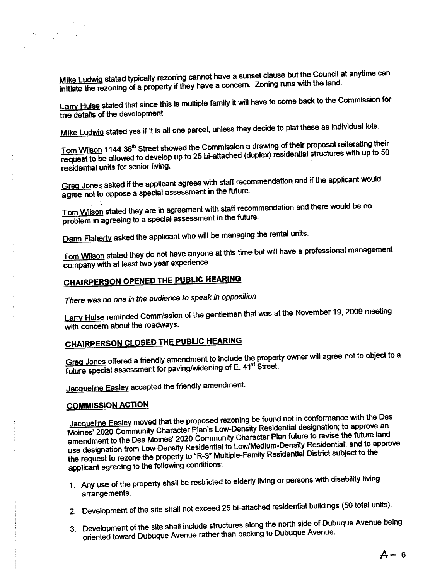Mike Ludwig stated typically rezoning cannot have a sunset clause but the Council at anytime can initiate the rezoning of a property if they have a concern. Zoning runs with the land.

Larry Hulse stated that since this is multiple family it will have to come back to the Commission for the details of the development.

lots.

Tom Wilson 1144 36" Street showed the Commission a drawing or their proposal received to 50 request to be allowed to develop up to 25 bi-attached (dupley) residential structures with the structures with the structures with the structures with the structure of the structures with the structure with the structure w residential units for senior living.

Greg Jones asked if the applicant agrees with staff recommendation and if the applicant would agree not to oppose a special assessment in the future.

Tom Wilson stated they are in agreement with staff recommendation and there would be no problem in agreeing to a special assessment in the future.

Dann Flaherty asked the applicant who will be managing the rental units.

Tom Wilson stated they do not have anyone at this time but will have a professional management company with at least two year experience.

# CHARPERSON OPENED THE PUBUC HEARING

 $M<sub>max</sub>$  Ludge stated yes if it is all  $\alpha$ 

 $\mathcal{F}=\mathcal{L}_\mathrm{c}$  , and  $\mathcal{H}_\mathrm{c}$  , and

There was no one in the audience to speak in opposition

Larry Hulse reminded Commission of the gentleman that was at the November 19, 2009 meeting with concern about the roadways.

# CHAIRPERSON CLOSED THE PUBUC HEARNG

Greg Jones offered a friendly amendment to include the property owner will agree not to object to a future special assessment for paving/widening of E. 41st Street.

Jacqueline Easley accepted the friendly amendment.

### COMMISSION ACTION

<u>Jacqueline Easley</u> moved that the proposed rezoning be found not in conformance with the Des<br>Moines' 2020 Community Character Plan's Low-Density Residential designation; to approve an amendment to the Des Moines' 2020 Community Character Plan future to revise the future land amendment to the Des Moines' 2020 Community Character Plan Mure to revise the Mure land to appr use designation from Low-Density Residential to Low Medium-Density Residential; and the the request to rezone the property to "R-3" Multiple-Family Residential District subject to the applicant agreeing to the following conditions:

- 1. Any use of the property shall be restricted to elderly living or persons with disability living arrangements.
- 2. Development of the site shall not exceed 25 bi-attached residential buildings (50 total units).
- 3. Development of the site shall include structures along the north side of Dubuque Avenue being oriented toward Dubuque Avenue rather than backing to Dubuque Avenue.

 $A - 6$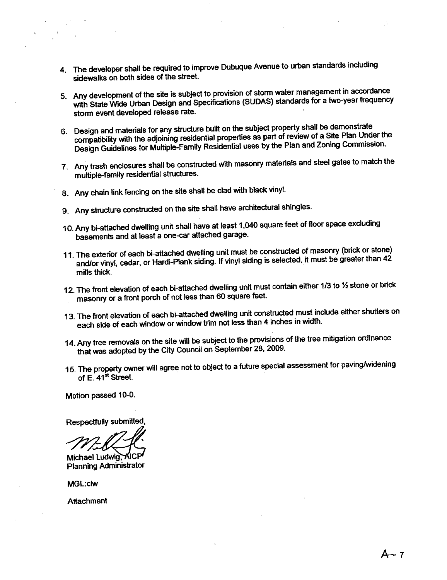- 4. The developer shall be required to improve Dubuque Avenue to urban standards including sidewalks on both sides of the street.
- 5. Any development of the site is subject to provision of storm water management in accordance with State Wide Urban Design and Specifications (SUDAS) standards for a two-year frequency storm event developed release rate.
- 6. Design and materials for any structure built on the subject property shall be demonstrate compatibility with the adjoining residential properties as part of review of a Site Plan Under the Design Guidelines for Multiple-Family Residential uses by the Plan and Zoning Commission.
- 7. Any trash enclosures shall be constructed with masonry materials and steel gates to match the multiple-family residential structures.
- 8. Any chain link fencing on the site shall be clad with black vinyl.
- 9. Any structure constructed on the site shall have architectural shingles.
- 10. Any bi-attached dwelling unit shall have at least 1,040 square feet of floor space excluding basements and at least a one-car attached garage.
- 11. The exterior of each bi-attached dwelling unit must be constructed of masonry (brick or stone) and/or vinyl, cedar, or Hardi-Plank siding. If vinyl siding is selected, it must be greater than 42 mills thick.
- 12. The front elevation of each bi-attached dwelling unit must contain either 1/3 to 1/2 stone or brick masonry or a front porch of not less than 60 square feet.
- 13. The front elevation of each bi-attached dwelling unit constructed must include either shutters on each side of each window or window trim not less than 4 inches in width.
- 14. Any tree removals on the site will be subject to the provisions of the tree mitigation ordinance that was adopted by the City Council on September 28, 2009.
- 15. The property owner will agree not to object to a future special assessment for pavingning-inng of the early owner will agree<br>The property owner will agree<br>of E. 41<sup>st</sup> Street.

Motion passed 10-0.

Respectfully submitted,

Michael Ludwig, AICF Planning Administrator

MGL:clw

**Attachment** 

A-7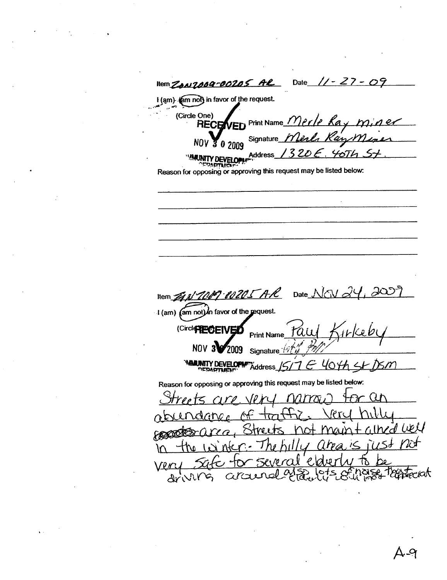Date  $11 - 27 - 09$ liem ZAN7009-00205 AR I (am) (am not) in favor of the request. (Circle One) ED Print Name Merle Ray m **RECEM** er Kan M <u>Min</u> Signature\_ N<sub>0</sub>  $\overline{0}$  2009 '320  $\epsilon$  . Address\_MAINITY DEVELOPMENT DARTIM Reason for opposing or approving this request may be listed below: 1009-00205 AR Date NOV 2 llem  $\mathcal{Z}_4$ I (am) (am not) In favor of the request. (Circle FECEIV Print Name Tau rekeb Έñ **NOV** 2009 Signature <sup>(4)</sup> MARINTY DEVELOPME Address 15/7 E 40th St Reason for opposing or approving this request may be listed below: are Jen  $2n$  $\forall$ ined well na in  $\mathcal{L}$ nx  $+$ 10 10  $\sim$  1 ÌN Tantociat drivir arai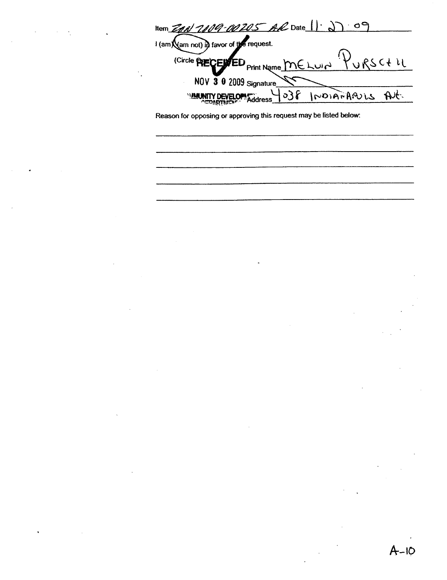109-00205 AR Date 1.27.09 Item $\mathbb{Z}$ I (am (am not) in favor of the request. KURSC+LL (Circle PHECENED Print Name MELUIN NOV 3 0 2009 Signature At. MARINITY DEVELOPMENT  $o36$ INDIANARULS

Reason for opposing or approving this request may be listed below: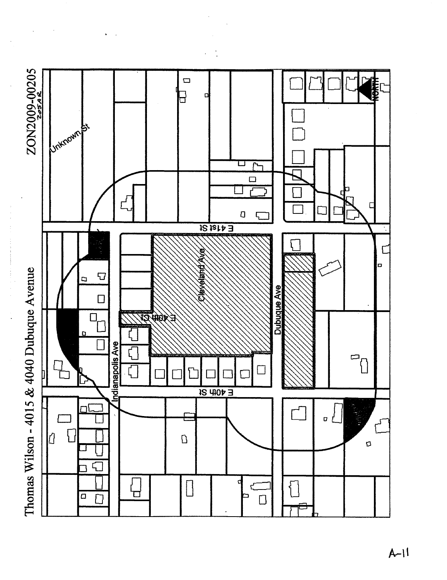

 $A-I$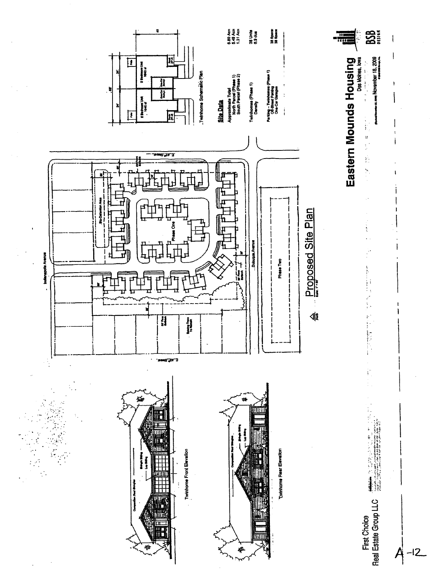

 $-l2$